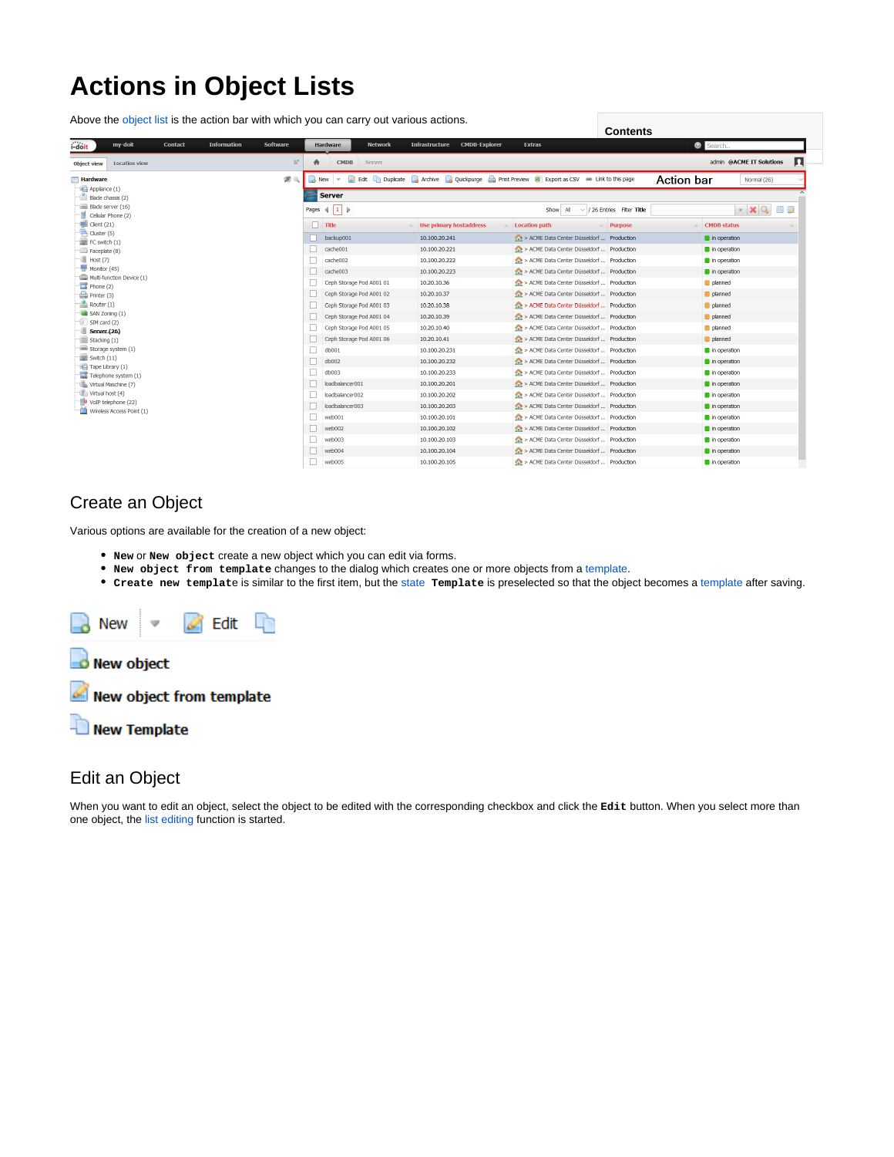# **Actions in Object Lists**

Above the [object list](https://kb.i-doit.com/pages/viewpage.action?pageId=61014325) is the action bar with which you can carry out various actions.

|                                                                                                                                                                                                                                                                                                                                                                                                                                                                    | <b>Contents</b>                                                                                         |                                                                                             |                                                |                   |                               |  |
|--------------------------------------------------------------------------------------------------------------------------------------------------------------------------------------------------------------------------------------------------------------------------------------------------------------------------------------------------------------------------------------------------------------------------------------------------------------------|---------------------------------------------------------------------------------------------------------|---------------------------------------------------------------------------------------------|------------------------------------------------|-------------------|-------------------------------|--|
| i-doit<br>my-doit<br><b>Information</b><br><b>Contact</b><br>Software                                                                                                                                                                                                                                                                                                                                                                                              | <b>Network</b><br><b>Hardware</b>                                                                       | <b>Infrastructure</b><br><b>CMDB-Explorer</b>                                               | <b>Extras</b>                                  |                   | Search.                       |  |
| $\mathbb{B}^n$<br>Location view<br><b>Object view</b>                                                                                                                                                                                                                                                                                                                                                                                                              | <b>CMDB</b><br>Server<br>合                                                                              |                                                                                             |                                                |                   | п<br>admin @ACME IT Solutions |  |
| 200<br><b>Hardware</b>                                                                                                                                                                                                                                                                                                                                                                                                                                             | <b>B</b> New<br>$\mathbf{v}$                                                                            | Edit Duplicate Archive Quickpurge Print Preview <b>a</b> Export as CSV on Link to this page |                                                | <b>Action bar</b> | Normal (26)                   |  |
| Applance (1)<br>Blade chassis (2)                                                                                                                                                                                                                                                                                                                                                                                                                                  | <b>Server</b>                                                                                           |                                                                                             |                                                |                   |                               |  |
| Blade server (16)                                                                                                                                                                                                                                                                                                                                                                                                                                                  | $\cdot$ $\times$ Q $\Box$<br>Pages $\left\  1 \right\ $<br>Show All<br>$\vee$ / 26 Entries Filter Title |                                                                                             |                                                |                   |                               |  |
| Cellular Phone (2)<br>$H$ Client (21)<br>Cluster (5)<br>FC switch (1)<br>Faceplate (8)<br>Host(7)<br>Monitor (45)<br>Multi-function Device (1)<br>Phone(2)<br>$P$ rinter (3)<br>Router(1)<br>SAN Zoning (1)<br>SIM card (2)<br><b>Server</b> (26)<br>Stacking $(1)$<br>Storage system (1)<br>$\equiv$ Switch $(11)$<br>Tape Library (1)<br>Telephone system (1)<br>Vrtual Maschine (7)<br>The Virtual host (4)<br>VoIP telephone (22)<br>Wireless Access Point (1) |                                                                                                         |                                                                                             |                                                |                   |                               |  |
|                                                                                                                                                                                                                                                                                                                                                                                                                                                                    | $\Box$ Title                                                                                            | <b>Use primary hostaddress</b>                                                              | <b>Location path</b>                           | Purpose           | <b>CMDB</b> status            |  |
|                                                                                                                                                                                                                                                                                                                                                                                                                                                                    | backup001                                                                                               | 10.100.20.241                                                                               | A > ACME Data Center Düsseldorf  Production    |                   | n operation                   |  |
|                                                                                                                                                                                                                                                                                                                                                                                                                                                                    | □.<br>cache001                                                                                          | 10.100.20.221                                                                               | ACME Data Center Düsseldorf  Production        |                   | in operation                  |  |
|                                                                                                                                                                                                                                                                                                                                                                                                                                                                    | cache002<br>$\mathbf{L}$                                                                                | 10,100,20,222                                                                               | A > ACME Data Center Düsseldorf  Production    |                   | n operation                   |  |
|                                                                                                                                                                                                                                                                                                                                                                                                                                                                    | cache003<br>□                                                                                           | 10.100.20.223                                                                               | ACME Data Center Düsseldorf  Production        |                   | n operation                   |  |
|                                                                                                                                                                                                                                                                                                                                                                                                                                                                    | Ceph Storage Pod A001 01                                                                                | 10.20.10.36                                                                                 | AL > ACME Data Center Düsseldorf  Production   |                   | planned                       |  |
|                                                                                                                                                                                                                                                                                                                                                                                                                                                                    | Ceph Storage Pod A001 02<br>Ш                                                                           | 10.20.10.37                                                                                 | A > ACME Data Center Düsseldorf  Production    |                   | planned                       |  |
|                                                                                                                                                                                                                                                                                                                                                                                                                                                                    | Ceph Storage Pod A001 03                                                                                | 10.20.10.38                                                                                 | A > ACME Data Center Düsseldorf  Production    |                   | planned                       |  |
|                                                                                                                                                                                                                                                                                                                                                                                                                                                                    | Ceph Storage Pod A001 04                                                                                | 10.20.10.39                                                                                 | AL > ACME Data Center Düsseldorf  Production   |                   | planned                       |  |
|                                                                                                                                                                                                                                                                                                                                                                                                                                                                    | Ceph Storage Pod A001 05                                                                                | 10.20.10.40                                                                                 | ALL: > ACME Data Center Düsseldorf  Production |                   | planned                       |  |
|                                                                                                                                                                                                                                                                                                                                                                                                                                                                    | Ceph Storage Pod A001 06                                                                                | 10.20.10.41                                                                                 | A > ACME Data Center Düsseldorf  Production    |                   | planned                       |  |
|                                                                                                                                                                                                                                                                                                                                                                                                                                                                    | ш<br>db001                                                                                              | 10.100.20.231                                                                               | ACME Data Center Düsseldorf  Production        |                   | n operation                   |  |
|                                                                                                                                                                                                                                                                                                                                                                                                                                                                    | П<br>db002                                                                                              | 10.100.20.232                                                                               | ACME Data Center Düsseldorf  Production        |                   | n operation                   |  |
|                                                                                                                                                                                                                                                                                                                                                                                                                                                                    | db003<br>Ш                                                                                              | 10.100.20.233                                                                               | A > ACME Data Center Düsseldorf  Production    |                   | n operation                   |  |
|                                                                                                                                                                                                                                                                                                                                                                                                                                                                    | loadbalancer001<br>□                                                                                    | 10.100.20.201                                                                               | AP > ACME Data Center Düsseldorf  Production   |                   | n operation                   |  |
|                                                                                                                                                                                                                                                                                                                                                                                                                                                                    | loadbalancer002<br>$\mathbf{L}$                                                                         | 10.100.20.202                                                                               | ALCOME Data Center Düsseldorf  Production      |                   | n operation                   |  |
|                                                                                                                                                                                                                                                                                                                                                                                                                                                                    | loadbalancer003<br>п                                                                                    | 10.100.20.203                                                                               | AP > ACME Data Center Düsseldorf  Production   |                   | n operation                   |  |
|                                                                                                                                                                                                                                                                                                                                                                                                                                                                    | п<br>web001                                                                                             | 10.100.20.101                                                                               | A > ACME Data Center Düsseldorf  Production    |                   | n operation                   |  |
|                                                                                                                                                                                                                                                                                                                                                                                                                                                                    | □<br>web002                                                                                             | 10.100.20.102                                                                               | AL > ACME Data Center Düsseldorf  Production   |                   | n operation                   |  |
|                                                                                                                                                                                                                                                                                                                                                                                                                                                                    | web003<br>□                                                                                             | 10.100.20.103                                                                               | ACME Data Center Düsseldorf  Production        |                   | in operation                  |  |
|                                                                                                                                                                                                                                                                                                                                                                                                                                                                    | web004                                                                                                  | 10.100.20.104                                                                               | A > ACME Data Center Düsseldorf  Production    |                   | n operation                   |  |
|                                                                                                                                                                                                                                                                                                                                                                                                                                                                    | web005                                                                                                  | 10.100.20.105                                                                               | ACME Data Center Düsseldorf  Production        |                   | n operation                   |  |

### Create an Object

Various options are available for the creation of a new object:

- **New** or **New object** create a new object which you can edit via forms.
- **New object from template** changes to the dialog which creates one or more objects from a [template.](https://kb.i-doit.com/display/en/Templates)
- **Create new templat**e is similar to the first item, but the [state](https://kb.i-doit.com/display/en/Life+and+Documentation+Cycle) **Template** is preselected so that the object becomes a [template](https://kb.i-doit.com/display/en/Templates) after saving.



### Edit an Object

When you want to edit an object, select the object to be edited with the corresponding checkbox and click the **Edit** button. When you select more than one object, the [list editing](https://kb.i-doit.com/display/en/List+Editing) function is started.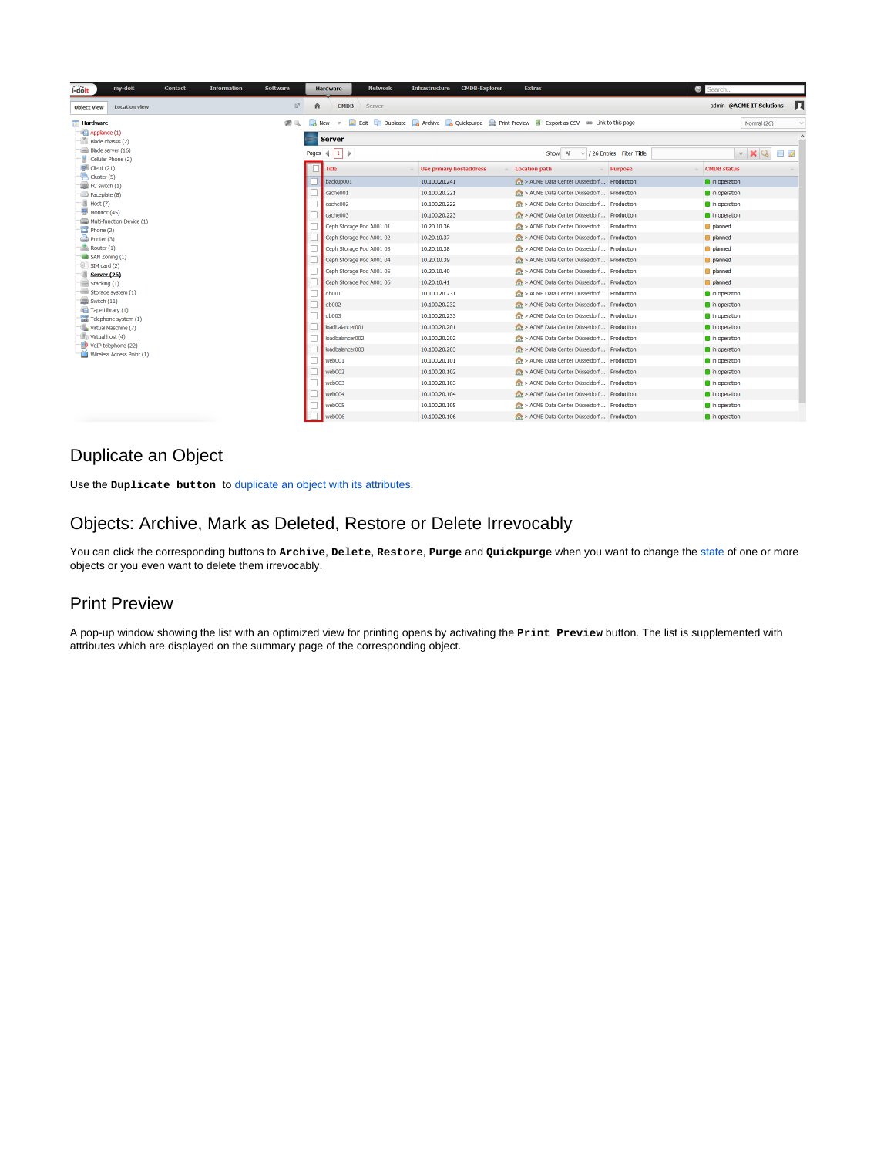| i-doit<br>my-doit<br><b>Contact</b>                                                                                                                                                                                                 | <b>Information</b><br><b>Software</b>             | <b>Network</b><br><b>Hardware</b>       | <b>CMDB-Explorer</b><br><b>Infrastructure</b>                                                   | <b>Extras</b>                                |                                 | Search.                                       |
|-------------------------------------------------------------------------------------------------------------------------------------------------------------------------------------------------------------------------------------|---------------------------------------------------|-----------------------------------------|-------------------------------------------------------------------------------------------------|----------------------------------------------|---------------------------------|-----------------------------------------------|
| <b>Location view</b><br><b>Object view</b>                                                                                                                                                                                          | $\mathbb{E}^n$<br>合                               | <b>CMDB</b><br>Server                   |                                                                                                 |                                              |                                 | Л<br>admin @ACME IT Solutions                 |
| <b>Hardware</b>                                                                                                                                                                                                                     | $\not\!\!\mathcal{D} \, \mathbb{Q}$<br>$\sim$ New | $\mathbf{v}$                            | Edit Duplicate A Archive A Quickpurge Print Preview <b>B</b> Export as CSV 68 Link to this page |                                              |                                 | Normal (26)<br>$\checkmark$                   |
| Applance (1)                                                                                                                                                                                                                        |                                                   | <b>Server</b>                           |                                                                                                 |                                              |                                 |                                               |
| Blade chassis (2)<br>Blade server (16)                                                                                                                                                                                              |                                                   |                                         |                                                                                                 |                                              |                                 |                                               |
| Cellular Phone (2)                                                                                                                                                                                                                  |                                                   | Pages $\parallel 1 \parallel \parallel$ |                                                                                                 | All<br>Show                                  | $\vee$ / 26 Entries Fiter Title | $\mathbf{v}$ $\mathbf{X}$ $\mathbf{Q}$<br>e p |
| $\blacksquare$ Client (21)<br>$\Rightarrow$ Cluster (5)<br>$\equiv$ FC switch $(1)$<br>Faceplate (8)<br>$\Box$ Host (7)<br>$M$ Monitor (45)<br>Multi-function Device (1)<br>Phone(2)<br>Printer (3)<br>Router (1)<br>SAN Zoning (1) |                                                   | Title                                   | Use primary hostaddress                                                                         | <b>Location path</b>                         | <b>Purpose</b>                  | <b>CMDB status</b>                            |
|                                                                                                                                                                                                                                     |                                                   | backup001                               | 10.100.20.241                                                                                   | A > ACME Data Center Düsseldorf  Production  |                                 | In operation                                  |
|                                                                                                                                                                                                                                     |                                                   | cache001                                | 10.100.20.221                                                                                   | > ACME Data Center Düsseldorf  Production    |                                 | in operation                                  |
|                                                                                                                                                                                                                                     |                                                   | cache002                                | 10.100.20.222                                                                                   | ACME Data Center Düsseldorf  Production      |                                 | in operation                                  |
|                                                                                                                                                                                                                                     |                                                   | cache003                                | 10.100.20.223                                                                                   | A > ACME Data Center Düsseldorf  Production  |                                 | n operation                                   |
|                                                                                                                                                                                                                                     |                                                   | Ceph Storage Pod A001 01                | 10.20.10.36                                                                                     | > ACME Data Center Düsseldorf  Production    |                                 | planned                                       |
|                                                                                                                                                                                                                                     |                                                   | Ceph Storage Pod A001 02                | 10.20.10.37                                                                                     | A > ACME Data Center Düsseldorf  Production  |                                 | planned                                       |
|                                                                                                                                                                                                                                     |                                                   | Ceph Storage Pod A001 03                | 10.20.10.38                                                                                     | A > ACME Data Center Düsseldorf  Production  |                                 | planned                                       |
|                                                                                                                                                                                                                                     |                                                   | Ceph Storage Pod A001 04                | 10.20.10.39                                                                                     | ACME Data Center Düsseldorf  Production      |                                 | planned                                       |
| SIM card (2)<br>Server (26)                                                                                                                                                                                                         |                                                   | Ceph Storage Pod A001 05                | 10.20.10.40                                                                                     | AL > ACME Data Center Düsseldorf  Production |                                 | planned                                       |
| Stacking (1)                                                                                                                                                                                                                        |                                                   | Ceph Storage Pod A001 06                | 10.20.10.41                                                                                     | > ACME Data Center Düsseldorf  Production    |                                 | planned                                       |
| Storage system (1)                                                                                                                                                                                                                  |                                                   | db <sub>001</sub>                       | 10.100.20.231                                                                                   | ACME Data Center Düsseldorf  Production      |                                 | in operation                                  |
| $\equiv$ Switch (11)<br>Tape Library (1)                                                                                                                                                                                            |                                                   | db002                                   | 10,100,20,232                                                                                   | A > ACME Data Center Düsseldorf  Production  |                                 | n operation                                   |
| Telephone system (1)                                                                                                                                                                                                                |                                                   | db003                                   | 10.100.20.233                                                                                   | ACME Data Center Düsseldorf  Production      |                                 | in operation                                  |
| Virtual Maschine (7)<br>Virtual host (4)<br>VoIP telephone (22)<br>Wireless Access Point (1)                                                                                                                                        |                                                   | loadbalancer001                         | 10.100.20.201                                                                                   | A > ACME Data Center Düsseldorf  Production  |                                 | n operation                                   |
|                                                                                                                                                                                                                                     |                                                   | loadbalancer002                         | 10.100.20.202                                                                                   | A > ACME Data Center Düsseldorf  Production  |                                 | in operation                                  |
|                                                                                                                                                                                                                                     |                                                   | loadbalancer003                         | 10.100.20.203                                                                                   | ACME Data Center Düsseldorf  Production      |                                 | in operation                                  |
|                                                                                                                                                                                                                                     |                                                   | web001                                  | 10,100,20,101                                                                                   | A > ACME Data Center Düsseldorf  Production  |                                 | In operation                                  |
|                                                                                                                                                                                                                                     |                                                   | web002                                  | 10.100.20.102                                                                                   | > ACME Data Center Düsseldorf  Production    |                                 | n operation                                   |
|                                                                                                                                                                                                                                     |                                                   | web003                                  | 10.100.20.103                                                                                   | ALCOME Data Center Düsseldorf  Production    |                                 | in operation                                  |
|                                                                                                                                                                                                                                     |                                                   | web004                                  | 10.100.20.104                                                                                   | A > ACME Data Center Düsseldorf  Production  |                                 | n operation                                   |
|                                                                                                                                                                                                                                     |                                                   | web005                                  | 10.100.20.105                                                                                   | ACME Data Center Düsseldorf  Production      |                                 | in operation                                  |
|                                                                                                                                                                                                                                     |                                                   | web006                                  | 10.100.20.106                                                                                   | ACME Data Center Düsseldorf  Production      |                                 | n operation                                   |

### Duplicate an Object

Use the **Duplicate button** to [duplicate an object with its attributes](https://kb.i-doit.com/display/en/Duplicate+Objects).

### Objects: Archive, Mark as Deleted, Restore or Delete Irrevocably

You can click the corresponding buttons to **Archive**, **Delete**, **Restore**, **Purge** and **Quickpurge** when you want to change the [state](https://kb.i-doit.com/display/en/Life+and+Documentation+Cycle) of one or more objects or you even want to delete them irrevocably.

### Print Preview

A pop-up window showing the list with an optimized view for printing opens by activating the **Print Preview** button. The list is supplemented with attributes which are displayed on the summary page of the corresponding object.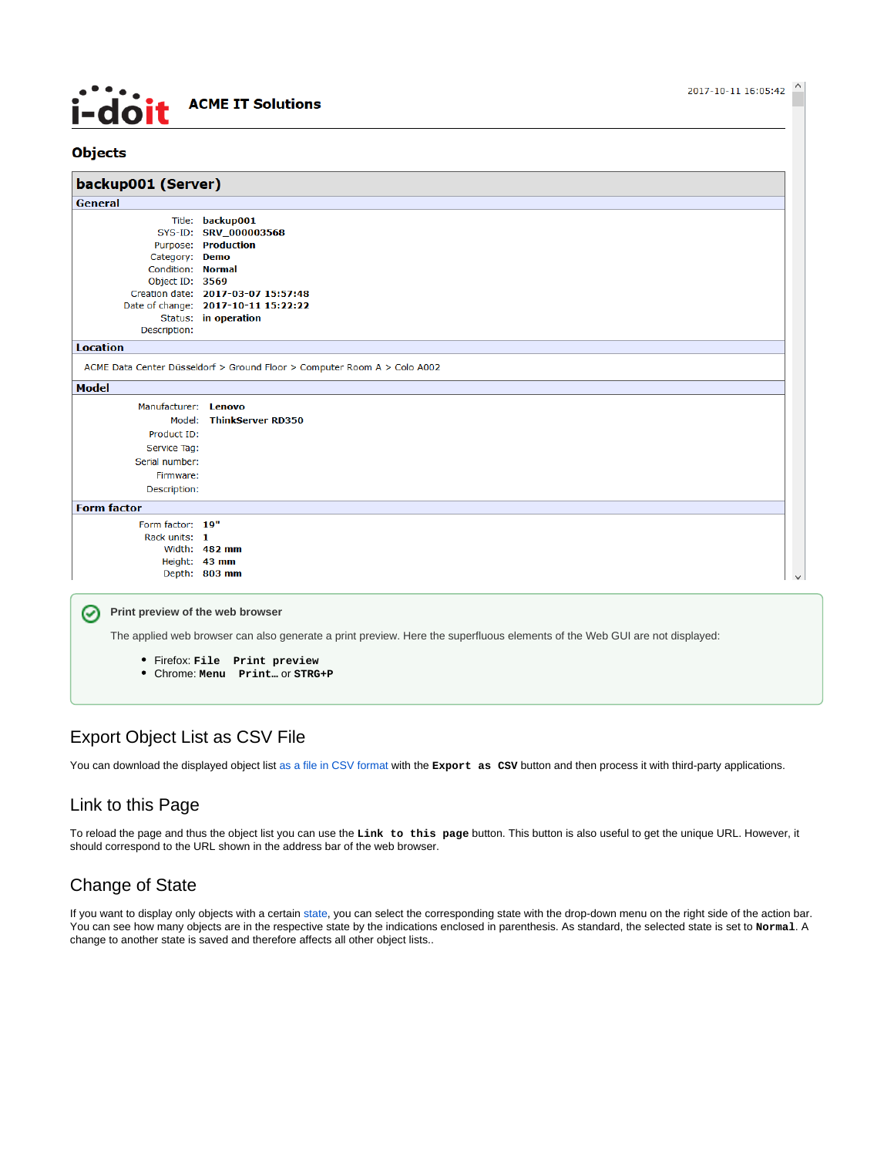## **ACME IT Solutions** <u> I-doit</u>

#### **Objects**

| backup001 (Server)                                                                                                                                                  |                                                                                                                                                                       |  |  |  |  |
|---------------------------------------------------------------------------------------------------------------------------------------------------------------------|-----------------------------------------------------------------------------------------------------------------------------------------------------------------------|--|--|--|--|
| General                                                                                                                                                             |                                                                                                                                                                       |  |  |  |  |
| Category: Demo<br>Condition: Normal<br>Object ID: 3569<br>Description:                                                                                              | Title: backup001<br>SYS-ID: SRV_000003568<br>Purpose: Production<br>Creation date: 2017-03-07 15:57:48<br>Date of change: 2017-10-11 15:22:22<br>Status: in operation |  |  |  |  |
| <b>Location</b>                                                                                                                                                     |                                                                                                                                                                       |  |  |  |  |
|                                                                                                                                                                     | ACME Data Center Düsseldorf > Ground Floor > Computer Room A > Colo A002                                                                                              |  |  |  |  |
| <b>Model</b>                                                                                                                                                        |                                                                                                                                                                       |  |  |  |  |
| Manufacturer: Lenovo<br>Model:<br>Product ID:<br>Service Tag:<br>Serial number:<br>Firmware:<br>Description:                                                        | <b>ThinkServer RD350</b>                                                                                                                                              |  |  |  |  |
| <b>Form factor</b>                                                                                                                                                  |                                                                                                                                                                       |  |  |  |  |
| Form factor: 19"<br>Rack units: 1                                                                                                                                   | Width: 482 mm<br>Height: 43 mm<br>Depth: 803 mm                                                                                                                       |  |  |  |  |
| Print preview of the web browser<br>Ø<br>The applied web browser can also generate a print preview. Here the superfluous elements of the Web GUI are not displayed: |                                                                                                                                                                       |  |  |  |  |

Firefox: **File Print preview**

Chrome: **Menu Print…** or **STRG+P**

### Export Object List as CSV File

You can download the displayed object list [as a file in CSV format](https://kb.i-doit.com/display/en/CSV+Data+Export) with the Export as CSV button and then process it with third-party applications.

### Link to this Page

To reload the page and thus the object list you can use the **Link to this page** button. This button is also useful to get the unique URL. However, it should correspond to the URL shown in the address bar of the web browser.

### Change of State

If you want to display only objects with a certain [state](https://kb.i-doit.com/display/en/Life+and+Documentation+Cycle), you can select the corresponding state with the drop-down menu on the right side of the action bar. You can see how many objects are in the respective state by the indications enclosed in parenthesis. As standard, the selected state is set to **Normal**. A change to another state is saved and therefore affects all other object lists..

2017-10-11 16:05:42